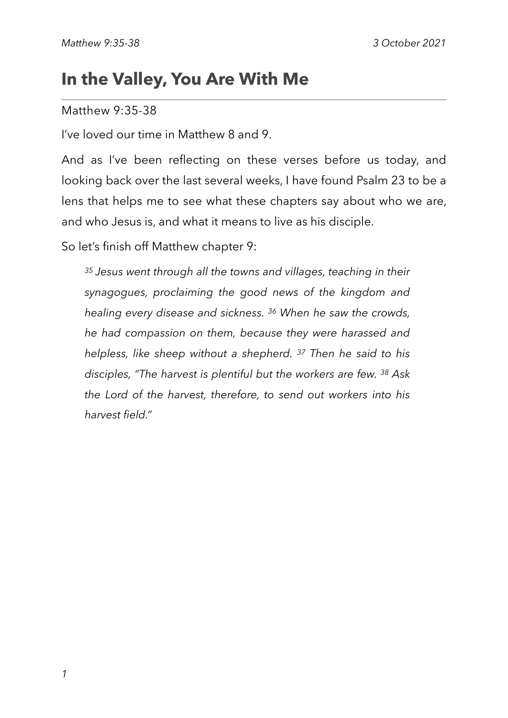# **In the Valley, You Are With Me**

#### Matthew 9:35-38

I've loved our time in Matthew 8 and 9.

And as I've been reflecting on these verses before us today, and looking back over the last several weeks, I have found Psalm 23 to be a lens that helps me to see what these chapters say about who we are, and who Jesus is, and what it means to live as his disciple.

So let's finish off Matthew chapter 9:

*35 Jesus went through all the towns and villages, teaching in their synagogues, proclaiming the good news of the kingdom and healing every disease and sickness. 36 When he saw the crowds, he had compassion on them, because they were harassed and helpless, like sheep without a shepherd. 37 Then he said to his disciples, "The harvest is plentiful but the workers are few. 38 Ask the Lord of the harvest, therefore, to send out workers into his harvest field."*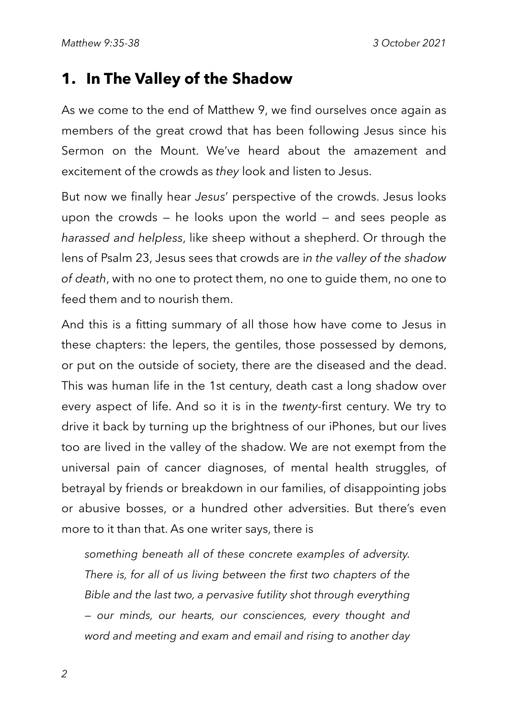#### **1. In The Valley of the Shadow**

As we come to the end of Matthew 9, we find ourselves once again as members of the great crowd that has been following Jesus since his Sermon on the Mount. We've heard about the amazement and excitement of the crowds as *they* look and listen to Jesus.

But now we finally hear *Jesus*' perspective of the crowds. Jesus looks upon the crowds  $-$  he looks upon the world  $-$  and sees people as *harassed and helpless*, like sheep without a shepherd. Or through the lens of Psalm 23, Jesus sees that crowds are i*n the valley of the shadow of death*, with no one to protect them, no one to guide them, no one to feed them and to nourish them.

And this is a fitting summary of all those how have come to Jesus in these chapters: the lepers, the gentiles, those possessed by demons, or put on the outside of society, there are the diseased and the dead. This was human life in the 1st century, death cast a long shadow over every aspect of life. And so it is in the *twenty-*first century. We try to drive it back by turning up the brightness of our iPhones, but our lives too are lived in the valley of the shadow. We are not exempt from the universal pain of cancer diagnoses, of mental health struggles, of betrayal by friends or breakdown in our families, of disappointing jobs or abusive bosses, or a hundred other adversities. But there's even more to it than that. As one writer says, there is

*something beneath all of these concrete examples of adversity. There is, for all of us living between the first two chapters of the Bible and the last two, a pervasive futility shot through everything — our minds, our hearts, our consciences, every thought and word and meeting and exam and email and rising to another day*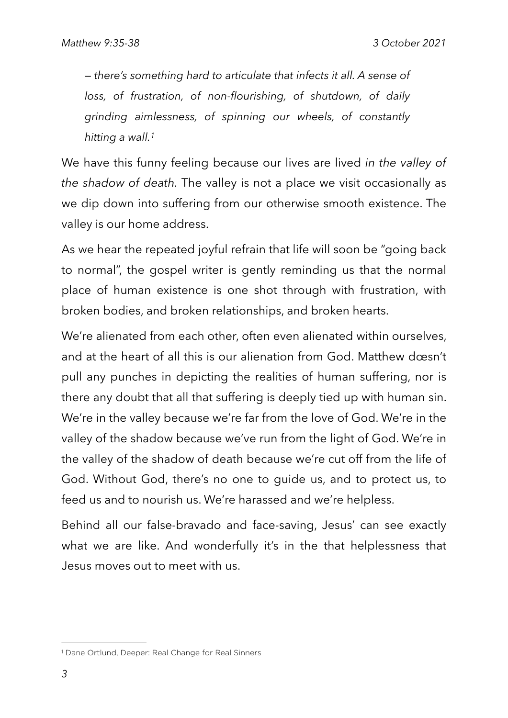<span id="page-2-1"></span>*— there's something hard to articulate that infects it all. A sense of loss, of frustration, of non-flourishing, of shutdown, of daily grinding aimlessness, of spinning our wheels, of constantly hitting a wall[.1](#page-2-0)*

We have this funny feeling because our lives are lived *in the valley of the shadow of death.* The valley is not a place we visit occasionally as we dip down into suffering from our otherwise smooth existence. The valley is our home address.

As we hear the repeated joyful refrain that life will soon be "going back to normal", the gospel writer is gently reminding us that the normal place of human existence is one shot through with frustration, with broken bodies, and broken relationships, and broken hearts.

We're alienated from each other, often even alienated within ourselves, and at the heart of all this is our alienation from God. Matthew doesn't pull any punches in depicting the realities of human suffering, nor is there any doubt that all that suffering is deeply tied up with human sin. We're in the valley because we're far from the love of God. We're in the valley of the shadow because we've run from the light of God. We're in the valley of the shadow of death because we're cut off from the life of God. Without God, there's no one to guide us, and to protect us, to feed us and to nourish us. We're harassed and we're helpless.

Behind all our false-bravado and face-saving, Jesus' can see exactly what we are like. And wonderfully it's in the that helplessness that Jesus moves out to meet with us.

<span id="page-2-0"></span>[<sup>1</sup>](#page-2-1) Dane Ortlund, Deeper: Real Change for Real Sinners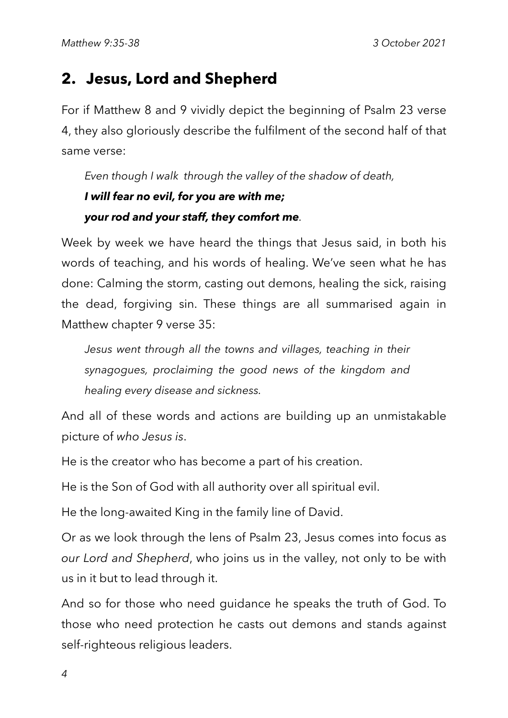# **2. Jesus, Lord and Shepherd**

For if Matthew 8 and 9 vividly depict the beginning of Psalm 23 verse 4, they also gloriously describe the fulfilment of the second half of that same verse:

## *Even though I walk through the valley of the shadow of death, I will fear no evil, for you are with me; your rod and your staff, they comfort me.*

Week by week we have heard the things that Jesus said, in both his words of teaching, and his words of healing. We've seen what he has done: Calming the storm, casting out demons, healing the sick, raising the dead, forgiving sin. These things are all summarised again in Matthew chapter 9 verse 35:

*Jesus went through all the towns and villages, teaching in their synagogues, proclaiming the good news of the kingdom and healing every disease and sickness.*

And all of these words and actions are building up an unmistakable picture of *who Jesus is*.

He is the creator who has become a part of his creation.

He is the Son of God with all authority over all spiritual evil.

He the long-awaited King in the family line of David.

Or as we look through the lens of Psalm 23, Jesus comes into focus as *our Lord and Shepherd*, who joins us in the valley, not only to be with us in it but to lead through it.

And so for those who need guidance he speaks the truth of God. To those who need protection he casts out demons and stands against self-righteous religious leaders.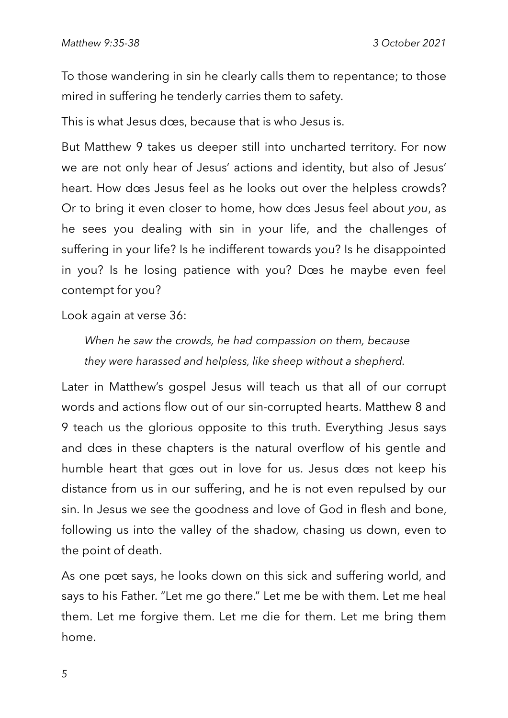To those wandering in sin he clearly calls them to repentance; to those mired in suffering he tenderly carries them to safety.

This is what Jesus does, because that is who Jesus is.

But Matthew 9 takes us deeper still into uncharted territory. For now we are not only hear of Jesus' actions and identity, but also of Jesus' heart. How does Jesus feel as he looks out over the helpless crowds? Or to bring it even closer to home, how does Jesus feel about *you*, as he sees you dealing with sin in your life, and the challenges of suffering in your life? Is he indifferent towards you? Is he disappointed in you? Is he losing patience with you? Does he maybe even feel contempt for you?

Look again at verse 36:

*When he saw the crowds, he had compassion on them, because they were harassed and helpless, like sheep without a shepherd.*

Later in Matthew's gospel Jesus will teach us that all of our corrupt words and actions flow out of our sin-corrupted hearts. Matthew 8 and 9 teach us the glorious opposite to this truth. Everything Jesus says and does in these chapters is the natural overflow of his gentle and humble heart that goes out in love for us. Jesus does not keep his distance from us in our suffering, and he is not even repulsed by our sin. In Jesus we see the goodness and love of God in flesh and bone, following us into the valley of the shadow, chasing us down, even to the point of death.

As one poet says, he looks down on this sick and suffering world, and says to his Father. "Let me go there." Let me be with them. Let me heal them. Let me forgive them. Let me die for them. Let me bring them home.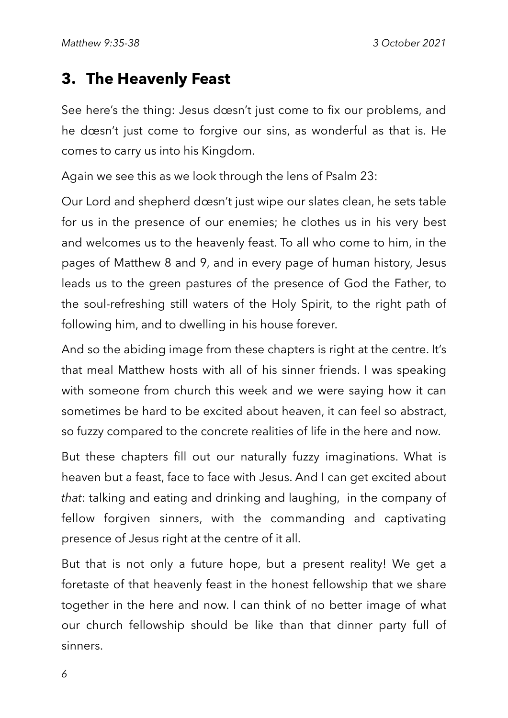# **3. The Heavenly Feast**

See here's the thing: Jesus doesn't just come to fix our problems, and he doesn't just come to forgive our sins, as wonderful as that is. He comes to carry us into his Kingdom.

Again we see this as we look through the lens of Psalm 23:

Our Lord and shepherd doesn't just wipe our slates clean, he sets table for us in the presence of our enemies; he clothes us in his very best and welcomes us to the heavenly feast. To all who come to him, in the pages of Matthew 8 and 9, and in every page of human history, Jesus leads us to the green pastures of the presence of God the Father, to the soul-refreshing still waters of the Holy Spirit, to the right path of following him, and to dwelling in his house forever.

And so the abiding image from these chapters is right at the centre. It's that meal Matthew hosts with all of his sinner friends. I was speaking with someone from church this week and we were saying how it can sometimes be hard to be excited about heaven, it can feel so abstract, so fuzzy compared to the concrete realities of life in the here and now.

But these chapters fill out our naturally fuzzy imaginations. What is heaven but a feast, face to face with Jesus. And I can get excited about *that*: talking and eating and drinking and laughing, in the company of fellow forgiven sinners, with the commanding and captivating presence of Jesus right at the centre of it all.

But that is not only a future hope, but a present reality! We get a foretaste of that heavenly feast in the honest fellowship that we share together in the here and now. I can think of no better image of what our church fellowship should be like than that dinner party full of sinners.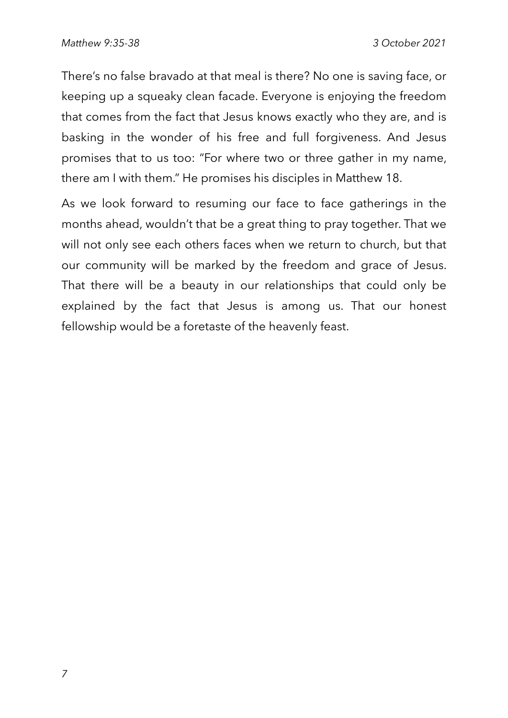There's no false bravado at that meal is there? No one is saving face, or keeping up a squeaky clean facade. Everyone is enjoying the freedom that comes from the fact that Jesus knows exactly who they are, and is basking in the wonder of his free and full forgiveness. And Jesus promises that to us too: "For where two or three gather in my name, there am I with them." He promises his disciples in Matthew 18.

As we look forward to resuming our face to face gatherings in the months ahead, wouldn't that be a great thing to pray together. That we will not only see each others faces when we return to church, but that our community will be marked by the freedom and grace of Jesus. That there will be a beauty in our relationships that could only be explained by the fact that Jesus is among us. That our honest fellowship would be a foretaste of the heavenly feast.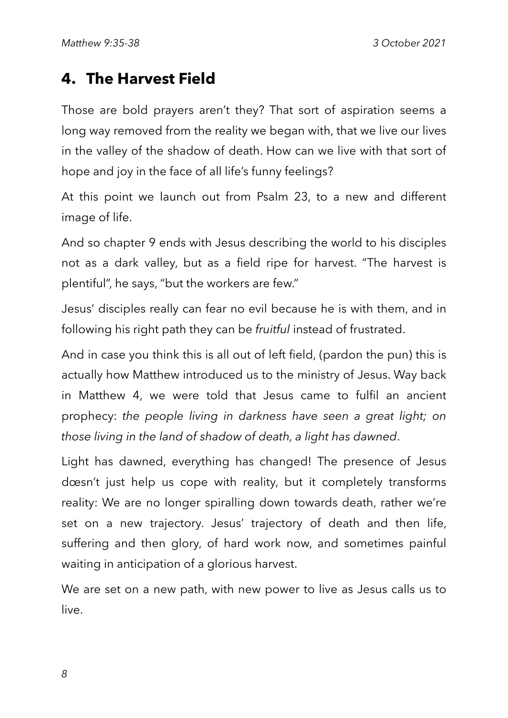# **4. The Harvest Field**

Those are bold prayers aren't they? That sort of aspiration seems a long way removed from the reality we began with, that we live our lives in the valley of the shadow of death. How can we live with that sort of hope and joy in the face of all life's funny feelings?

At this point we launch out from Psalm 23, to a new and different image of life.

And so chapter 9 ends with Jesus describing the world to his disciples not as a dark valley, but as a field ripe for harvest. "The harvest is plentiful", he says, "but the workers are few."

Jesus' disciples really can fear no evil because he is with them, and in following his right path they can be *fruitful* instead of frustrated.

And in case you think this is all out of left field, (pardon the pun) this is actually how Matthew introduced us to the ministry of Jesus. Way back in Matthew 4, we were told that Jesus came to fulfil an ancient prophecy: *the people living in darkness have seen a great light; on those living in the land of shadow of death, a light has dawned*.

Light has dawned, everything has changed! The presence of Jesus doesn't just help us cope with reality, but it completely transforms reality: We are no longer spiralling down towards death, rather we're set on a new trajectory. Jesus' trajectory of death and then life, suffering and then glory, of hard work now, and sometimes painful waiting in anticipation of a glorious harvest.

We are set on a new path, with new power to live as Jesus calls us to live.